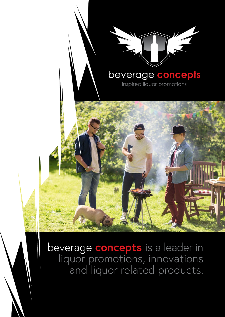

beverage **concepts** is a leader in liquor promotions, innovations and liquor related products.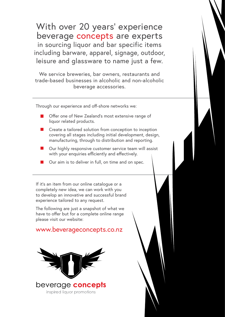With over 20 years' experience beverage concepts are experts in sourcing liquor and bar specific items including barware, apparel, signage, outdoor, leisure and glassware to name just a few.

We service breweries, bar owners, restaurants and trade-based businesses in alcoholic and non-alcoholic beverage accessories.

Through our experience and off-shore networks we:

- Offer one of New Zealand's most extensive range of liquor related products.
- Create a tailored solution from conception to inception covering all stages including initial development, design, manufacturing, through to distribution and reporting.
- Our highly responsive customer service team will assist with your enquiries efficiently and effectively.
- Our aim is to deliver in full, on time and on spec.

If it's an item from our online catalogue or a completely new idea, we can work with you to develop an innovative and successful brand experience tailored to any request.

The following are just a snapshot of what we have to offer but for a complete online range please visit our website:

### www.beverageconcepts.co.nz

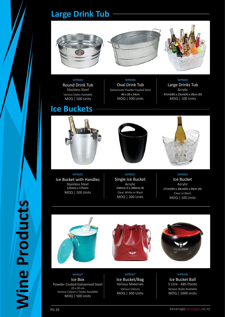## **Large Drink Tub**







### WPR002

Round Drink Tub Stainless Steel Various Styles Available MOQ | 500 Units

## **Ice Buckets**

WPR006 Oval Drink Tub Galvanised/ Powder Coated Steel 40 x 28 x 24cm MOQ | 500 Units

### WPR005

Large Drinks Tub Acrylic 47cm(W) x 23cm(H) x 28cm (D) MOQ | 100 Units





### WPR003

Ice Bucket with Handles Stainless Steel 125mm x 175mm MOQ | 100 Units

### WPR001

Single Ice Bucket Acrylic 250mm H x 200mm W Clear, White or Black MOQ | 500 Units

### WPR004

Ice Bucket Acrylic 27cm(W) x 20cm(D) x 20cm (H) Clear or Black MOQ | 100 Units







### WPR007

Ice Box Powder Coated Galvanised Steel 20 x 20 cm Various Colours / Styles Available MOQ | 500 Units

### WPR027

Ice Bucket/Bag Various Materials Various Colours MOQ | 500 Units



Ice Bucket Ball 5 Litre - ABS Plastic Various Styles Available MOQ | 1000 Units

**Wine Products**

**Wine Products**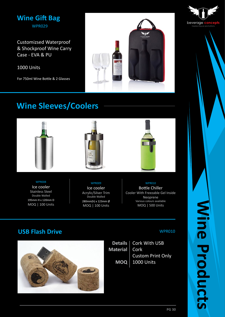## **Wine Gift Bag** WPR029

Customizsed Waterproof & Shockproof Wine Carry Case - EVA & PU

1000 Units

For 750ml Wine Bottle & 2 Glasses



## **Wine Sleeves/Coolers**





WPR008

Ice cooler Stainless Steel Double Walled 195mm H x 120mm D MOQ | 100 Units

### WPR009

Ice cooler Acrylic/Silver Trim Double Walled 280mm(h) x 123mm Ø MOQ | 100 Units

### WPR010

Bottle Chiller Cooler With Freezable Gel Inside Neoprene Various colours available MOQ | 500 Units

## **USB Flash Drive** WPR010



Cork With USB Cork Custom Print Only 1000 Units **Details Material MOQ**



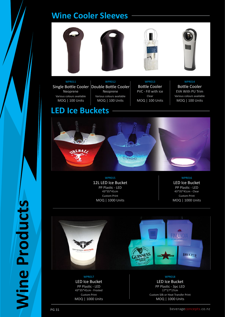## **Wine Cooler Sleeves**







Single Bottle Cooler Double Bottle Cooler WPR011 Neoprene Various colours available MOQ | 100 Units

Neoprene Various colours available MOQ | 100 Units

WPR012

WPR013 Bottle Cooler PVC - Fill with ice Clear MOQ | 100 Units

WPR014 Bottle Cooler EVA With PU Trim Various colours available MOQ | 100 Units

## **LED Ice Buckets**



WPR015 12L LED Ice Bucket PP Plastic - LED 43\*35\*41cm Custom Print MOQ | 1000 Units

WPR016

LED Ice Bucket PP Plastic - LED 43\*35\*41cm - Clear Custom Print MOQ | 1000 Units



WPR017 LED Ice Bucket PP Plastic - LED 43\*35\*41cm - Frosted Custom Print MOQ | 1000 Units



PP Plastic - 3pc LED 17\*17\*17cm Custom Silk or Heat Transfer Print MOQ | 1000 Units

**Wine Products**

**Wine Products**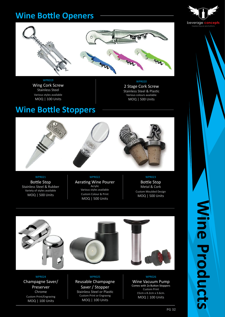## **Wine Bottle Openers**





WPR019 Wing Cork Screw Stainless Steel

Various styles available MOQ | 100 Units

WPR020 2 Stage Cork Screw Stainless Steel & Plastic Various colours available MOQ | 500 Units

## **Wine Bottle Stoppers**



WPR021 Bottle Stop Stainless Steel & Rubber Variety of styles available MOQ | 500 Units

### WPR022

Aerating Wine Pourer Acrylic Various styles available Custom Colour & Print MOQ | 500 Units

WPR023 Bottle Stop Metal & Cork Custom Moulded Design MOQ | 500 Units



WPR024 Champagne Saver/ Preserver Chrome Custom Print/Engraving MOQ | 100 Units

#### WPR025

Reusable Champagne Saver / Stopper Stainless Steel or Plastic Custom Print or Engravng MOQ | 100 Units

WPR026 Wine Vacuum Pump Comes with 2x Button Stoppers Custom Print 15cm x 8.2cm x 3.6cm. MOQ | 100 Units